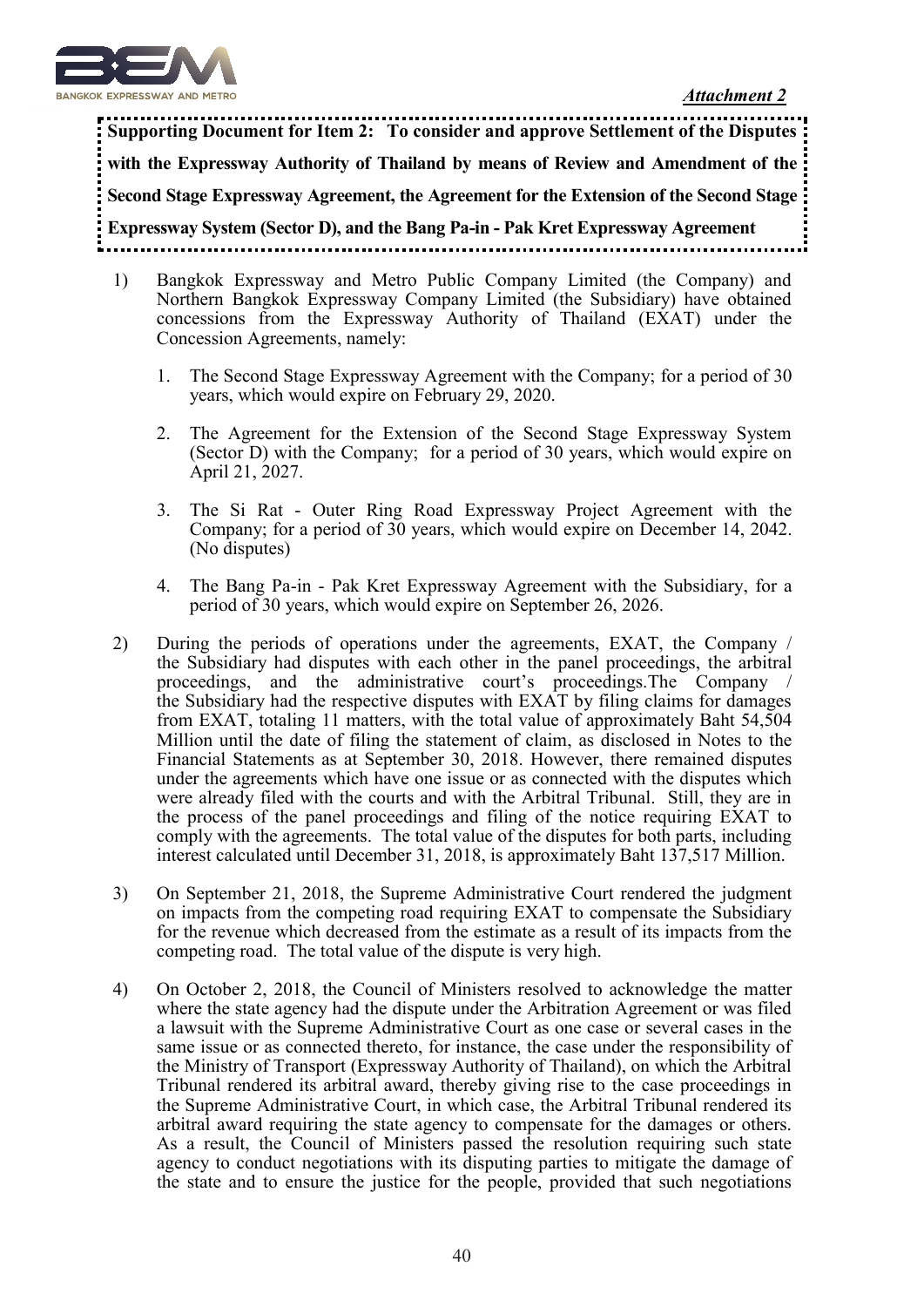

*Attachment 2*

**Supporting Document for Item 2: To consider and approve Settlement of the Disputes with the Expressway Authority of Thailand by means of Review and Amendment of the Second Stage Expressway Agreement, the Agreement for the Extension of the Second Stage Expressway System (Sector D), and the Bang Pa-in - Pak Kret Expressway Agreement** 

- 1) Bangkok Expressway and Metro Public Company Limited (the Company) and Northern Bangkok Expressway Company Limited (the Subsidiary) have obtained concessions from the Expressway Authority of Thailand (EXAT) under the Concession Agreements, namely:
	- 1. The Second Stage Expressway Agreement with the Company; for a period of 30 years, which would expire on February 29, 2020.
	- 2. The Agreement for the Extension of the Second Stage Expressway System (Sector D) with the Company; for a period of 30 years, which would expire on April 21, 2027.
	- 3. The Si Rat Outer Ring Road Expressway Project Agreement with the Company; for a period of 30 years, which would expire on December 14, 2042. (No disputes)
	- 4. The Bang Pa-in Pak Kret Expressway Agreement with the Subsidiary, for a period of 30 years, which would expire on September 26, 2026.
- 2) During the periods of operations under the agreements, EXAT, the Company / the Subsidiary had disputes with each other in the panel proceedings, the arbitral proceedings, and the administrative court's proceedings.The Company / the Subsidiary had the respective disputes with EXAT by filing claims for damages from EXAT, totaling 11 matters, with the total value of approximately Baht 54,504 Million until the date of filing the statement of claim, as disclosed in Notes to the Financial Statements as at September 30, 2018. However, there remained disputes under the agreements which have one issue or as connected with the disputes which were already filed with the courts and with the Arbitral Tribunal. Still, they are in the process of the panel proceedings and filing of the notice requiring EXAT to comply with the agreements. The total value of the disputes for both parts, including interest calculated until December 31, 2018, is approximately Baht 137,517 Million.
- 3) On September 21, 2018, the Supreme Administrative Court rendered the judgment on impacts from the competing road requiring EXAT to compensate the Subsidiary for the revenue which decreased from the estimate as a result of its impacts from the competing road. The total value of the dispute is very high.
- 4) On October 2, 2018, the Council of Ministers resolved to acknowledge the matter where the state agency had the dispute under the Arbitration Agreement or was filed a lawsuit with the Supreme Administrative Court as one case or several cases in the same issue or as connected thereto, for instance, the case under the responsibility of the Ministry of Transport (Expressway Authority of Thailand), on which the Arbitral Tribunal rendered its arbitral award, thereby giving rise to the case proceedings in the Supreme Administrative Court, in which case, the Arbitral Tribunal rendered its arbitral award requiring the state agency to compensate for the damages or others. As a result, the Council of Ministers passed the resolution requiring such state agency to conduct negotiations with its disputing parties to mitigate the damage of the state and to ensure the justice for the people, provided that such negotiations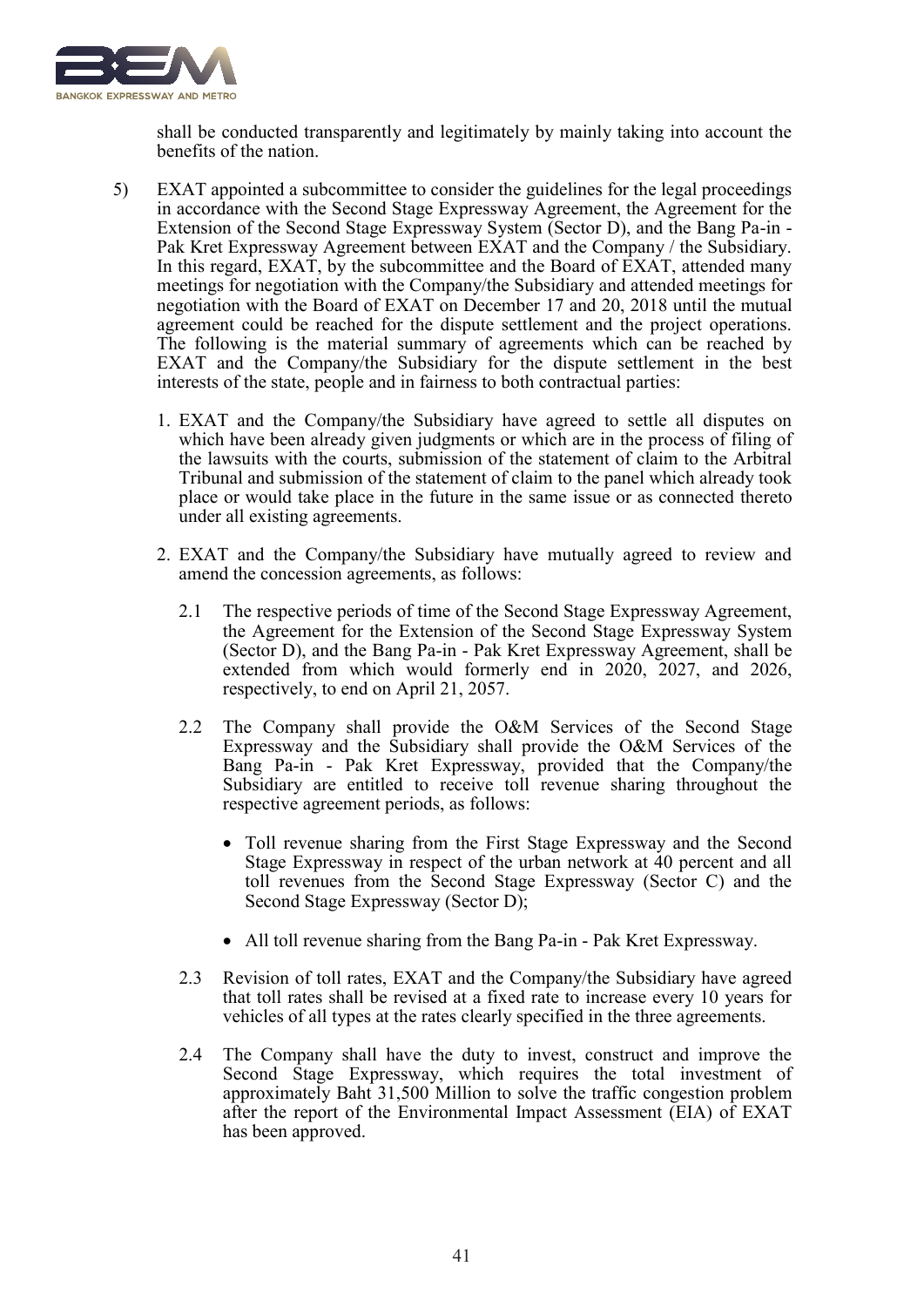

shall be conducted transparently and legitimately by mainly taking into account the benefits of the nation.

- 5) EXAT appointed a subcommittee to consider the guidelines for the legal proceedings in accordance with the Second Stage Expressway Agreement, the Agreement for the Extension of the Second Stage Expressway System (Sector D), and the Bang Pa-in - Pak Kret Expressway Agreement between EXAT and the Company / the Subsidiary. In this regard, EXAT, by the subcommittee and the Board of EXAT, attended many meetings for negotiation with the Company/the Subsidiary and attended meetings for negotiation with the Board of EXAT on December 17 and 20, 2018 until the mutual agreement could be reached for the dispute settlement and the project operations. The following is the material summary of agreements which can be reached by EXAT and the Company/the Subsidiary for the dispute settlement in the best interests of the state, people and in fairness to both contractual parties:
	- 1. EXAT and the Company/the Subsidiary have agreed to settle all disputes on which have been already given judgments or which are in the process of filing of the lawsuits with the courts, submission of the statement of claim to the Arbitral Tribunal and submission of the statement of claim to the panel which already took place or would take place in the future in the same issue or as connected thereto under all existing agreements.
	- 2. EXAT and the Company/the Subsidiary have mutually agreed to review and amend the concession agreements, as follows:
		- 2.1 The respective periods of time of the Second Stage Expressway Agreement, the Agreement for the Extension of the Second Stage Expressway System (Sector D), and the Bang Pa-in - Pak Kret Expressway Agreement, shall be extended from which would formerly end in 2020, 2027, and 2026, respectively, to end on April 21, 2057.
		- 2.2 The Company shall provide the O&M Services of the Second Stage Expressway and the Subsidiary shall provide the O&M Services of the Bang Pa-in - Pak Kret Expressway, provided that the Company/the Subsidiary are entitled to receive toll revenue sharing throughout the respective agreement periods, as follows:
			- Toll revenue sharing from the First Stage Expressway and the Second Stage Expressway in respect of the urban network at 40 percent and all toll revenues from the Second Stage Expressway (Sector C) and the Second Stage Expressway (Sector D);
			- All toll revenue sharing from the Bang Pa-in Pak Kret Expressway.
		- 2.3 Revision of toll rates, EXAT and the Company/the Subsidiary have agreed that toll rates shall be revised at a fixed rate to increase every 10 years for vehicles of all types at the rates clearly specified in the three agreements.
		- 2.4 The Company shall have the duty to invest, construct and improve the Second Stage Expressway, which requires the total investment of approximately Baht 31,500 Million to solve the traffic congestion problem after the report of the Environmental Impact Assessment (EIA) of EXAT has been approved.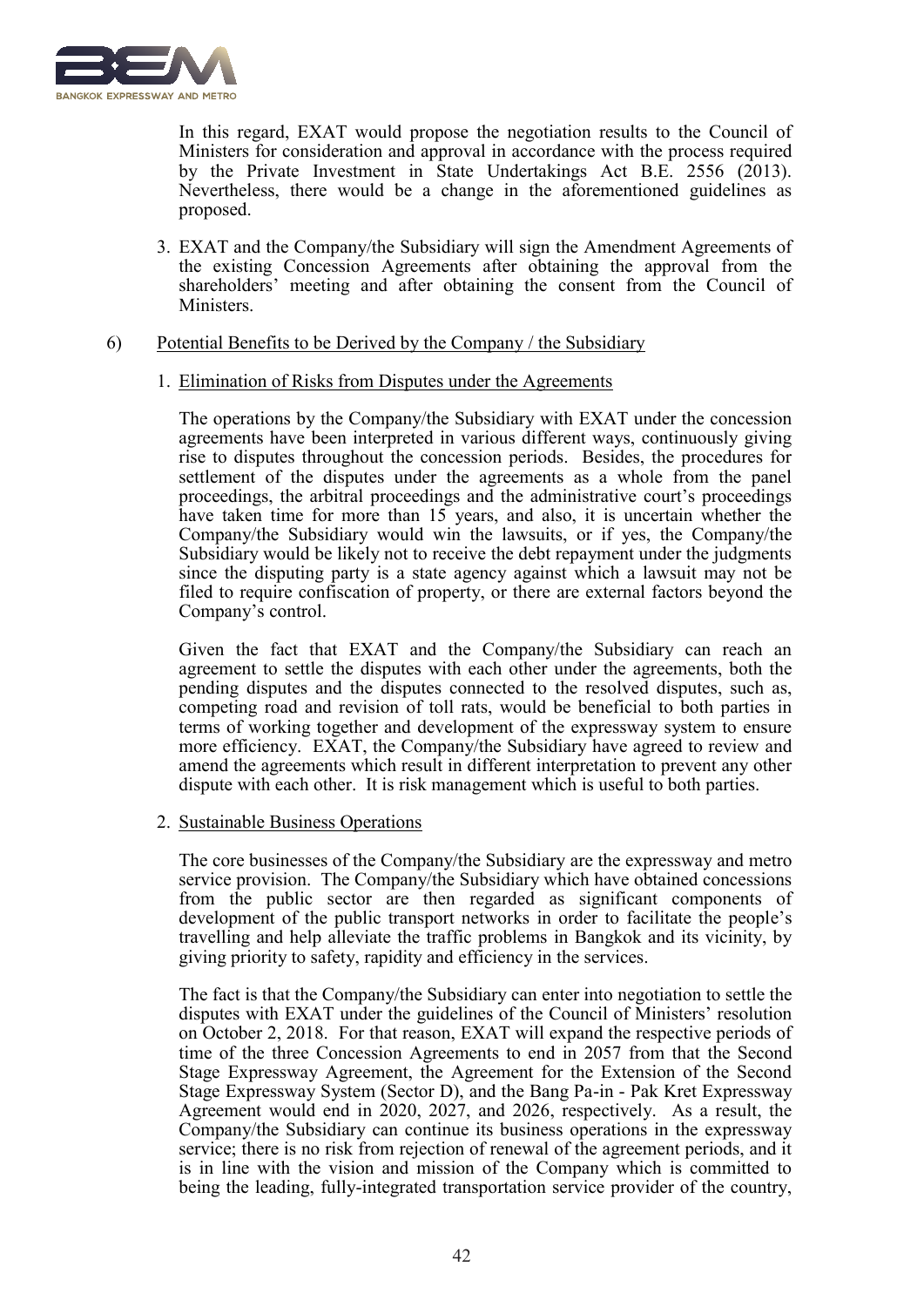

In this regard, EXAT would propose the negotiation results to the Council of Ministers for consideration and approval in accordance with the process required by the Private Investment in State Undertakings Act B.E. 2556 (2013). Nevertheless, there would be a change in the aforementioned guidelines as proposed.

3. EXAT and the Company/the Subsidiary will sign the Amendment Agreements of the existing Concession Agreements after obtaining the approval from the shareholders' meeting and after obtaining the consent from the Council of Ministers.

### 6) Potential Benefits to be Derived by the Company / the Subsidiary

#### 1. Elimination of Risks from Disputes under the Agreements

The operations by the Company/the Subsidiary with EXAT under the concession agreements have been interpreted in various different ways, continuously giving rise to disputes throughout the concession periods. Besides, the procedures for settlement of the disputes under the agreements as a whole from the panel proceedings, the arbitral proceedings and the administrative court's proceedings have taken time for more than 15 years, and also, it is uncertain whether the Company/the Subsidiary would win the lawsuits, or if yes, the Company/the Subsidiary would be likely not to receive the debt repayment under the judgments since the disputing party is a state agency against which a lawsuit may not be filed to require confiscation of property, or there are external factors beyond the Company's control.

Given the fact that EXAT and the Company/the Subsidiary can reach an agreement to settle the disputes with each other under the agreements, both the pending disputes and the disputes connected to the resolved disputes, such as, competing road and revision of toll rats, would be beneficial to both parties in terms of working together and development of the expressway system to ensure more efficiency. EXAT, the Company/the Subsidiary have agreed to review and amend the agreements which result in different interpretation to prevent any other dispute with each other. It is risk management which is useful to both parties.

## 2. Sustainable Business Operations

The core businesses of the Company/the Subsidiary are the expressway and metro service provision. The Company/the Subsidiary which have obtained concessions from the public sector are then regarded as significant components of development of the public transport networks in order to facilitate the people's travelling and help alleviate the traffic problems in Bangkok and its vicinity, by giving priority to safety, rapidity and efficiency in the services.

The fact is that the Company/the Subsidiary can enter into negotiation to settle the disputes with EXAT under the guidelines of the Council of Ministers' resolution on October 2, 2018. For that reason, EXAT will expand the respective periods of time of the three Concession Agreements to end in 2057 from that the Second Stage Expressway Agreement, the Agreement for the Extension of the Second Stage Expressway System (Sector D), and the Bang Pa-in - Pak Kret Expressway Agreement would end in 2020, 2027, and 2026, respectively. As a result, the Company/the Subsidiary can continue its business operations in the expressway service; there is no risk from rejection of renewal of the agreement periods, and it is in line with the vision and mission of the Company which is committed to being the leading, fully-integrated transportation service provider of the country,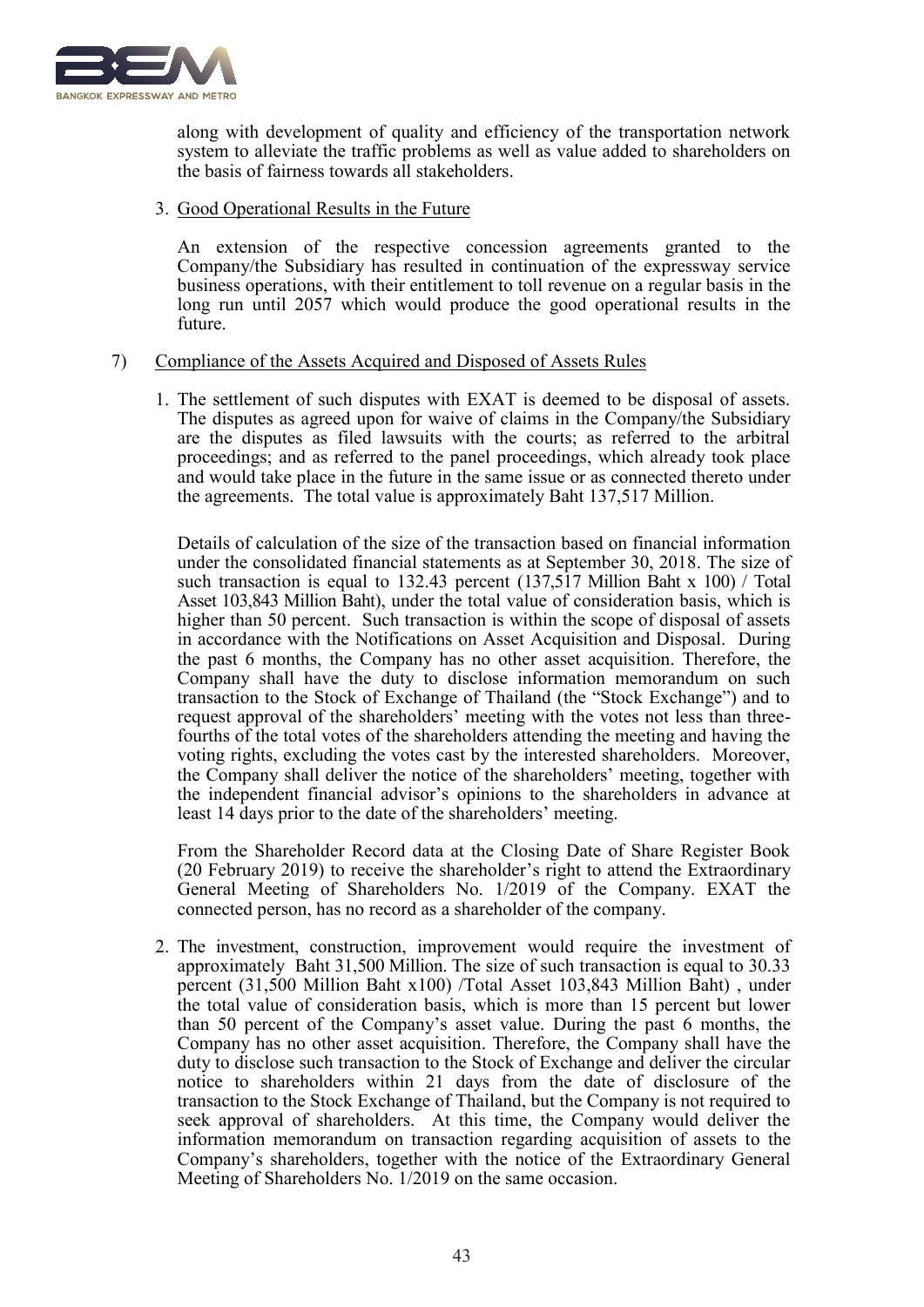

along with development of quality and efficiency of the transportation network system to alleviate the traffic problems as well as value added to shareholders on the basis of fairness towards all stakeholders.

### 3. Good Operational Results in the Future

An extension of the respective concession agreements granted to the Company/the Subsidiary has resulted in continuation of the expressway service business operations, with their entitlement to toll revenue on a regular basis in the long run until 2057 which would produce the good operational results in the future.

### 7) Compliance of the Assets Acquired and Disposed of Assets Rules

1. The settlement of such disputes with EXAT is deemed to be disposal of assets. The disputes as agreed upon for waive of claims in the Company/the Subsidiary are the disputes as filed lawsuits with the courts; as referred to the arbitral proceedings; and as referred to the panel proceedings, which already took place and would take place in the future in the same issue or as connected thereto under the agreements. The total value is approximately Baht 137,517 Million.

Details of calculation of the size of the transaction based on financial information under the consolidated financial statements as at September 30, 2018. The size of such transaction is equal to 132.43 percent (137,517 Million Baht x 100) / Total Asset 103,843 Million Baht), under the total value of consideration basis, which is higher than 50 percent. Such transaction is within the scope of disposal of assets in accordance with the Notifications on Asset Acquisition and Disposal. During the past 6 months, the Company has no other asset acquisition. Therefore, the Company shall have the duty to disclose information memorandum on such transaction to the Stock of Exchange of Thailand (the "Stock Exchange") and to request approval of the shareholders' meeting with the votes not less than threefourths of the total votes of the shareholders attending the meeting and having the voting rights, excluding the votes cast by the interested shareholders. Moreover, the Company shall deliver the notice of the shareholders' meeting, together with the independent financial advisor's opinions to the shareholders in advance at least 14 days prior to the date of the shareholders' meeting.

From the Shareholder Record data at the Closing Date of Share Register Book (20 February 2019) to receive the shareholder's right to attend the Extraordinary General Meeting of Shareholders No. 1/2019 of the Company. EXAT the connected person, has no record as a shareholder of the company.

2. The investment, construction, improvement would require the investment of approximately Baht 31,500 Million. The size of such transaction is equal to 30.33 percent (31,500 Million Baht x100) /Total Asset 103,843 Million Baht) , under the total value of consideration basis, which is more than 15 percent but lower than 50 percent of the Company's asset value. During the past 6 months, the Company has no other asset acquisition. Therefore, the Company shall have the duty to disclose such transaction to the Stock of Exchange and deliver the circular notice to shareholders within 21 days from the date of disclosure of the transaction to the Stock Exchange of Thailand, but the Company is not required to seek approval of shareholders. At this time, the Company would deliver the information memorandum on transaction regarding acquisition of assets to the Company's shareholders, together with the notice of the Extraordinary General Meeting of Shareholders No. 1/2019 on the same occasion.